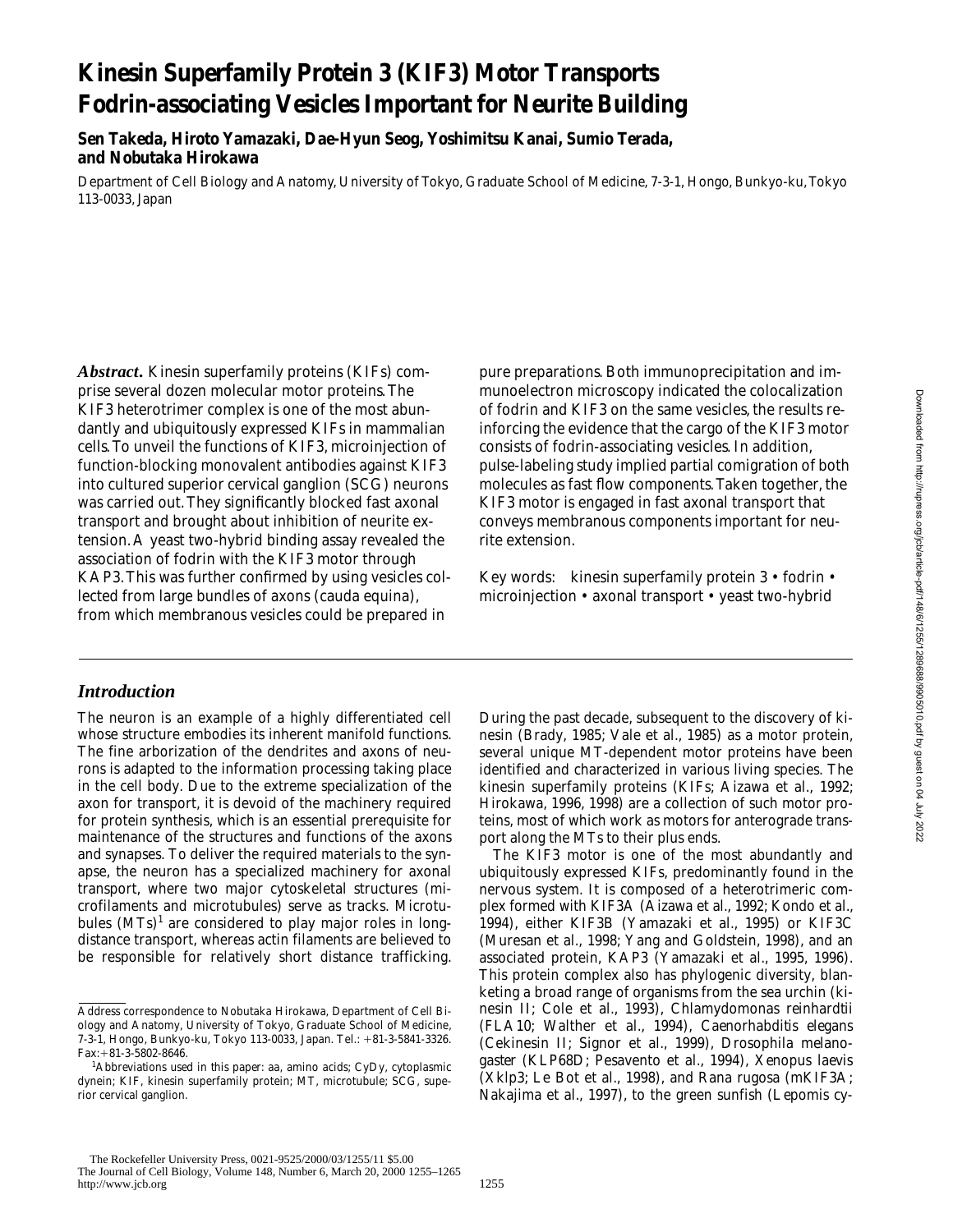# **Kinesin Superfamily Protein 3 (KIF3) Motor Transports Fodrin-associating Vesicles Important for Neurite Building**

**Sen Takeda, Hiroto Yamazaki, Dae-Hyun Seog, Yoshimitsu Kanai, Sumio Terada, and Nobutaka Hirokawa**

Department of Cell Biology and Anatomy, University of Tokyo, Graduate School of Medicine, 7-3-1, Hongo, Bunkyo-ku, Tokyo 113-0033, Japan

*Abstract.* Kinesin superfamily proteins (KIFs) comprise several dozen molecular motor proteins. The KIF3 heterotrimer complex is one of the most abundantly and ubiquitously expressed KIFs in mammalian cells. To unveil the functions of KIF3, microinjection of function-blocking monovalent antibodies against KIF3 into cultured superior cervical ganglion (SCG) neurons was carried out. They significantly blocked fast axonal transport and brought about inhibition of neurite extension. A yeast two-hybrid binding assay revealed the association of fodrin with the KIF3 motor through KAP3. This was further confirmed by using vesicles collected from large bundles of axons (cauda equina), from which membranous vesicles could be prepared in

## *Introduction*

The neuron is an example of a highly differentiated cell whose structure embodies its inherent manifold functions. The fine arborization of the dendrites and axons of neurons is adapted to the information processing taking place in the cell body. Due to the extreme specialization of the axon for transport, it is devoid of the machinery required for protein synthesis, which is an essential prerequisite for maintenance of the structures and functions of the axons and synapses. To deliver the required materials to the synapse, the neuron has a specialized machinery for axonal transport, where two major cytoskeletal structures (microfilaments and microtubules) serve as tracks. Microtubules (MTs)<sup>1</sup> are considered to play major roles in longdistance transport, whereas actin filaments are believed to be responsible for relatively short distance trafficking.

pure preparations. Both immunoprecipitation and immunoelectron microscopy indicated the colocalization of fodrin and KIF3 on the same vesicles, the results reinforcing the evidence that the cargo of the KIF3 motor consists of fodrin-associating vesicles. In addition, pulse-labeling study implied partial comigration of both molecules as fast flow components. Taken together, the KIF3 motor is engaged in fast axonal transport that conveys membranous components important for neurite extension.

Key words: kinesin superfamily protein 3 • fodrin • microinjection • axonal transport • yeast two-hybrid

During the past decade, subsequent to the discovery of kinesin (Brady, 1985; Vale et al., 1985) as a motor protein, several unique MT-dependent motor proteins have been identified and characterized in various living species. The kinesin superfamily proteins (KIFs; Aizawa et al., 1992; Hirokawa, 1996, 1998) are a collection of such motor proteins, most of which work as motors for anterograde transport along the MTs to their plus ends.

The KIF3 motor is one of the most abundantly and ubiquitously expressed KIFs, predominantly found in the nervous system. It is composed of a heterotrimeric complex formed with KIF3A (Aizawa et al., 1992; Kondo et al., 1994), either KIF3B (Yamazaki et al., 1995) or KIF3C (Muresan et al., 1998; Yang and Goldstein, 1998), and an associated protein, KAP3 (Yamazaki et al., 1995, 1996). This protein complex also has phylogenic diversity, blanketing a broad range of organisms from the sea urchin (kinesin II; Cole et al., 1993), *Chlamydomonas reinhardtii* (FLA10; Walther et al., 1994), *Caenorhabditis elegans* (Cekinesin II; Signor et al., 1999), *Drosophila melanogaster* (KLP68D; Pesavento et al., 1994), *Xenopus laevis* (Xklp3; Le Bot et al., 1998), and *Rana rugosa* (mKIF3A; Nakajima et al., 1997), to the green sunfish (*Lepomis cy-*

Address correspondence to Nobutaka Hirokawa, Department of Cell Biology and Anatomy, University of Tokyo, Graduate School of Medicine, 7-3-1, Hongo, Bunkyo-ku, Tokyo 113-0033, Japan. Tel.: 181-3-5841-3326. Fax: + 81-3-5802-8646.

*Abbreviations used in this paper:* aa, amino acids; CyDy, cytoplasmic dynein; KIF, kinesin superfamily protein; MT, microtubule; SCG, superior cervical ganglion.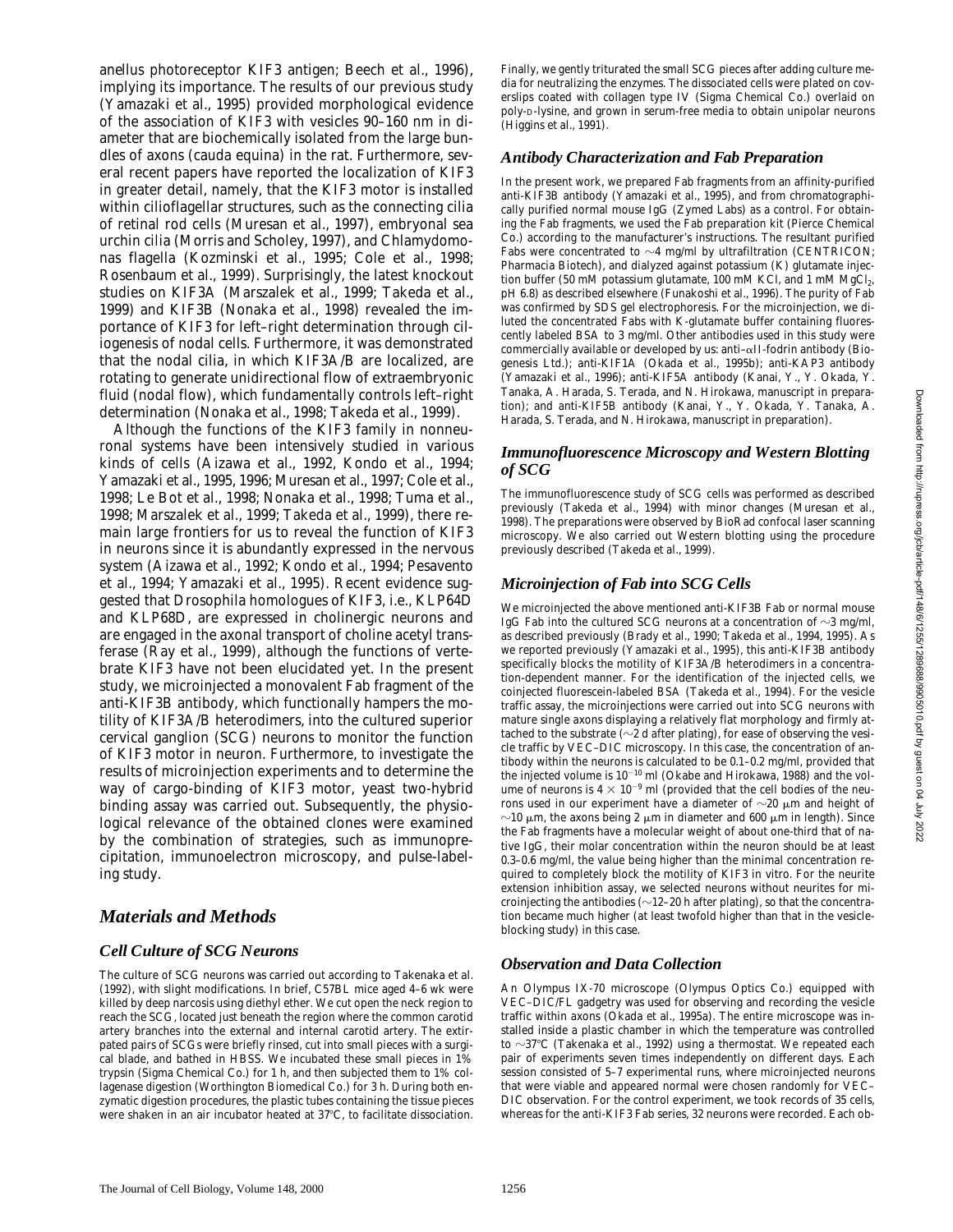*anellus* photoreceptor KIF3 antigen; Beech et al., 1996), implying its importance. The results of our previous study (Yamazaki et al., 1995) provided morphological evidence of the association of KIF3 with vesicles 90–160 nm in diameter that are biochemically isolated from the large bundles of axons (cauda equina) in the rat. Furthermore, several recent papers have reported the localization of KIF3 in greater detail, namely, that the KIF3 motor is installed within cilioflagellar structures, such as the connecting cilia of retinal rod cells (Muresan et al., 1997), embryonal sea urchin cilia (Morris and Scholey, 1997), and *Chlamydomonas* flagella (Kozminski et al., 1995; Cole et al., 1998; Rosenbaum et al., 1999). Surprisingly, the latest knockout studies on KIF3A (Marszalek et al., 1999; Takeda et al., 1999) and KIF3B (Nonaka et al., 1998) revealed the importance of KIF3 for left–right determination through ciliogenesis of nodal cells. Furthermore, it was demonstrated that the nodal cilia, in which KIF3A/B are localized, are rotating to generate unidirectional flow of extraembryonic fluid (nodal flow), which fundamentally controls left–right determination (Nonaka et al., 1998; Takeda et al., 1999).

Although the functions of the KIF3 family in nonneuronal systems have been intensively studied in various kinds of cells (Aizawa et al., 1992, Kondo et al., 1994; Yamazaki et al., 1995, 1996; Muresan et al., 1997; Cole et al., 1998; Le Bot et al., 1998; Nonaka et al., 1998; Tuma et al., 1998; Marszalek et al., 1999; Takeda et al., 1999), there remain large frontiers for us to reveal the function of KIF3 in neurons since it is abundantly expressed in the nervous system (Aizawa et al., 1992; Kondo et al., 1994; Pesavento et al., 1994; Yamazaki et al., 1995). Recent evidence suggested that *Drosophila* homologues of KIF3, i.e., KLP64D and KLP68D, are expressed in cholinergic neurons and are engaged in the axonal transport of choline acetyl transferase (Ray et al., 1999), although the functions of vertebrate KIF3 have not been elucidated yet. In the present study, we microinjected a monovalent Fab fragment of the anti-KIF3B antibody, which functionally hampers the motility of KIF3A/B heterodimers, into the cultured superior cervical ganglion (SCG) neurons to monitor the function of KIF3 motor in neuron. Furthermore, to investigate the results of microinjection experiments and to determine the way of cargo-binding of KIF3 motor, yeast two-hybrid binding assay was carried out. Subsequently, the physiological relevance of the obtained clones were examined by the combination of strategies, such as immunoprecipitation, immunoelectron microscopy, and pulse-labeling study.

## *Materials and Methods*

#### *Cell Culture of SCG Neurons*

The culture of SCG neurons was carried out according to Takenaka et al. (1992), with slight modifications. In brief, C57BL mice aged 4–6 wk were killed by deep narcosis using diethyl ether. We cut open the neck region to reach the SCG, located just beneath the region where the common carotid artery branches into the external and internal carotid artery. The extirpated pairs of SCGs were briefly rinsed, cut into small pieces with a surgical blade, and bathed in HBSS. We incubated these small pieces in 1% trypsin (Sigma Chemical Co.) for 1 h, and then subjected them to 1% collagenase digestion (Worthington Biomedical Co.) for 3 h. During both enzymatic digestion procedures, the plastic tubes containing the tissue pieces were shaken in an air incubator heated at  $37^{\circ}$ C, to facilitate dissociation.

Finally, we gently triturated the small SCG pieces after adding culture media for neutralizing the enzymes. The dissociated cells were plated on coverslips coated with collagen type IV (Sigma Chemical Co.) overlaid on poly-D-lysine, and grown in serum-free media to obtain unipolar neurons (Higgins et al., 1991).

#### *Antibody Characterization and Fab Preparation*

In the present work, we prepared Fab fragments from an affinity-purified anti-KIF3B antibody (Yamazaki et al., 1995), and from chromatographically purified normal mouse IgG (Zymed Labs) as a control. For obtaining the Fab fragments, we used the Fab preparation kit (Pierce Chemical Co.) according to the manufacturer's instructions. The resultant purified Fabs were concentrated to  $\sim$ 4 mg/ml by ultrafiltration (CENTRICON; Pharmacia Biotech), and dialyzed against potassium (K) glutamate injection buffer (50 mM potassium glutamate,  $100$  mM KCl, and 1 mM MgCl<sub>2</sub>, pH 6.8) as described elsewhere (Funakoshi et al., 1996). The purity of Fab was confirmed by SDS gel electrophoresis. For the microinjection, we diluted the concentrated Fabs with K-glutamate buffer containing fluorescently labeled BSA to 3 mg/ml. Other antibodies used in this study were commercially available or developed by us: anti- $\alpha$ II-fodrin antibody (Biogenesis Ltd.); anti-KIF1A (Okada et al., 1995b); anti-KAP3 antibody (Yamazaki et al., 1996); anti-KIF5A antibody (Kanai, Y., Y. Okada, Y. Tanaka, A. Harada, S. Terada, and N. Hirokawa, manuscript in preparation); and anti-KIF5B antibody (Kanai, Y., Y. Okada, Y. Tanaka, A. Harada, S. Terada, and N. Hirokawa, manuscript in preparation).

#### *Immunofluorescence Microscopy and Western Blotting of SCG*

The immunofluorescence study of SCG cells was performed as described previously (Takeda et al., 1994) with minor changes (Muresan et al., 1998). The preparations were observed by BioRad confocal laser scanning microscopy. We also carried out Western blotting using the procedure previously described (Takeda et al., 1999).

#### *Microinjection of Fab into SCG Cells*

We microinjected the above mentioned anti-KIF3B Fab or normal mouse IgG Fab into the cultured SCG neurons at a concentration of  $\sim$ 3 mg/ml, as described previously (Brady et al., 1990; Takeda et al., 1994, 1995). As we reported previously (Yamazaki et al., 1995), this anti-KIF3B antibody specifically blocks the motility of KIF3A/B heterodimers in a concentration-dependent manner. For the identification of the injected cells, we coinjected fluorescein-labeled BSA (Takeda et al., 1994). For the vesicle traffic assay, the microinjections were carried out into SCG neurons with mature single axons displaying a relatively flat morphology and firmly attached to the substrate ( $\sim$ 2 d after plating), for ease of observing the vesicle traffic by VEC–DIC microscopy. In this case, the concentration of antibody within the neurons is calculated to be 0.1–0.2 mg/ml, provided that the injected volume is  $10^{-10}$  ml (Okabe and Hirokawa, 1988) and the volume of neurons is 4  $\times$  10<sup>-9</sup> ml (provided that the cell bodies of the neurons used in our experiment have a diameter of  $\sim$ 20  $\mu$ m and height of  ${\sim}10$   ${\upmu}m,$  the axons being 2  ${\upmu}m$  in diameter and 600  ${\upmu}m$  in length). Since the Fab fragments have a molecular weight of about one-third that of native IgG, their molar concentration within the neuron should be at least 0.3–0.6 mg/ml, the value being higher than the minimal concentration required to completely block the motility of KIF3 in vitro. For the neurite extension inhibition assay, we selected neurons without neurites for microinjecting the antibodies  $(\sim12-20$  h after plating), so that the concentration became much higher (at least twofold higher than that in the vesicleblocking study) in this case.

## *Observation and Data Collection*

An Olympus IX-70 microscope (Olympus Optics Co.) equipped with VEC–DIC/FL gadgetry was used for observing and recording the vesicle traffic within axons (Okada et al., 1995a). The entire microscope was installed inside a plastic chamber in which the temperature was controlled to  $\sim$ 37°C (Takenaka et al., 1992) using a thermostat. We repeated each pair of experiments seven times independently on different days. Each session consisted of 5–7 experimental runs, where microinjected neurons that were viable and appeared normal were chosen randomly for VEC– DIC observation. For the control experiment, we took records of 35 cells, whereas for the anti-KIF3 Fab series, 32 neurons were recorded. Each ob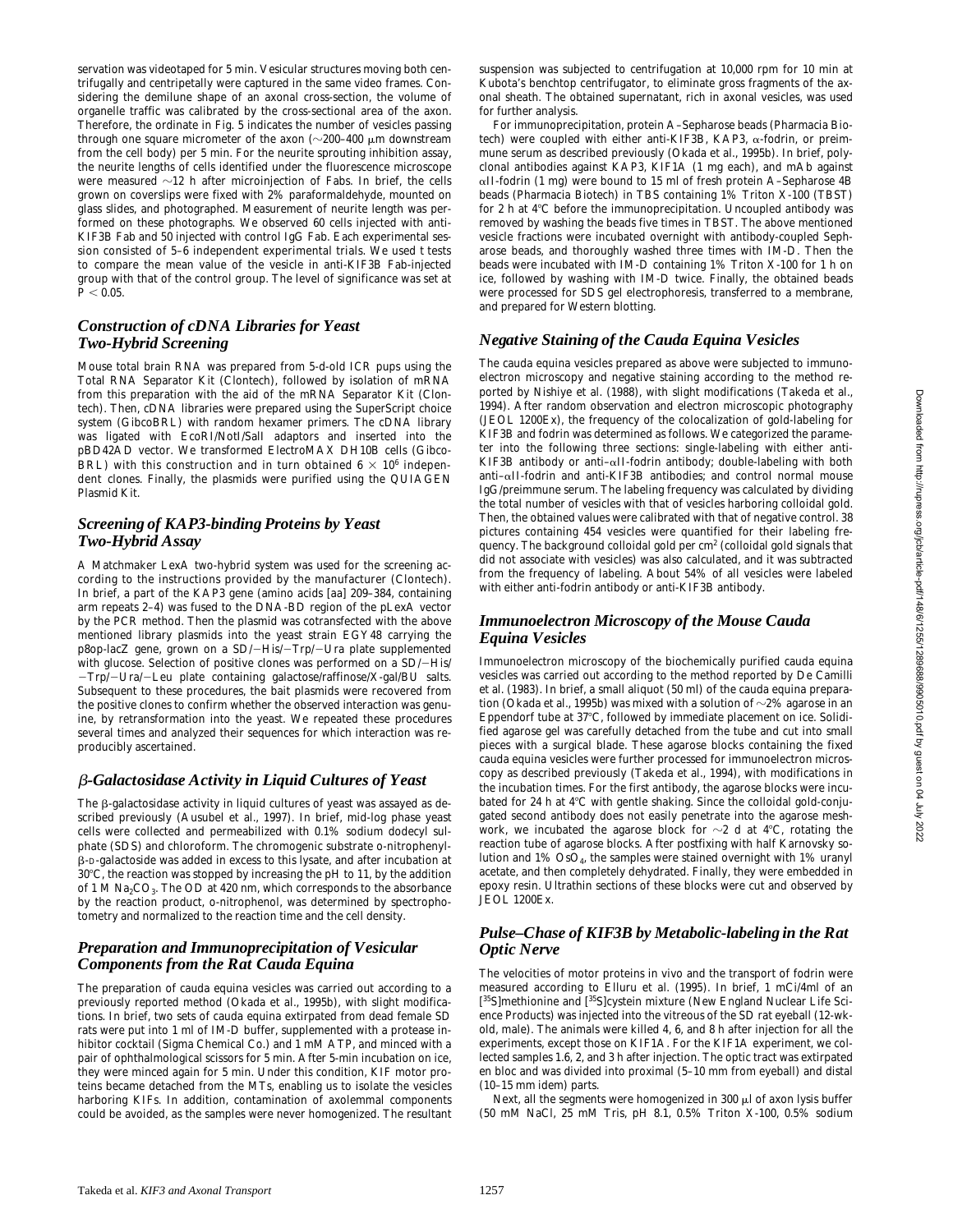servation was videotaped for 5 min. Vesicular structures moving both centrifugally and centripetally were captured in the same video frames. Considering the demilune shape of an axonal cross-section, the volume of organelle traffic was calibrated by the cross-sectional area of the axon. Therefore, the ordinate in Fig. 5 indicates the number of vesicles passing through one square micrometer of the axon ( $\sim$ 200–400  $\mu$ m downstream from the cell body) per 5 min. For the neurite sprouting inhibition assay, the neurite lengths of cells identified under the fluorescence microscope were measured  $\sim$ 12 h after microinjection of Fabs. In brief, the cells grown on coverslips were fixed with 2% paraformaldehyde, mounted on glass slides, and photographed. Measurement of neurite length was performed on these photographs. We observed 60 cells injected with anti-KIF3B Fab and 50 injected with control IgG Fab. Each experimental session consisted of 5–6 independent experimental trials. We used *t* tests to compare the mean value of the vesicle in anti-KIF3B Fab-injected group with that of the control group. The level of significance was set at  $P < 0.05$ .

#### *Construction of cDNA Libraries for Yeast Two-Hybrid Screening*

Mouse total brain RNA was prepared from 5-d-old ICR pups using the Total RNA Separator Kit (Clontech), followed by isolation of mRNA from this preparation with the aid of the mRNA Separator Kit (Clontech). Then, cDNA libraries were prepared using the SuperScript choice system (GibcoBRL) with random hexamer primers. The cDNA library was ligated with EcoRI/NotI/SalI adaptors and inserted into the pBD42AD vector. We transformed ElectroMAX DH10B cells (Gibco-BRL) with this construction and in turn obtained  $6 \times 10^6$  independent clones. Finally, the plasmids were purified using the QUIAGEN Plasmid Kit.

#### *Screening of KAP3-binding Proteins by Yeast Two-Hybrid Assay*

A Matchmaker LexA two-hybrid system was used for the screening according to the instructions provided by the manufacturer (Clontech). In brief, a part of the KAP3 gene (amino acids [aa] 209–384, containing arm repeats 2–4) was fused to the DNA-BD region of the pLexA vector by the PCR method. Then the plasmid was cotransfected with the above mentioned library plasmids into the yeast strain EGY48 carrying the p8op-lacZ gene, grown on a SD/-His/-Trp/-Ura plate supplemented with glucose. Selection of positive clones was performed on a SD/-His/ -Trp/-Ura/-Leu plate containing galactose/raffinose/X-gal/BU salts. Subsequent to these procedures, the bait plasmids were recovered from the positive clones to confirm whether the observed interaction was genuine, by retransformation into the yeast. We repeated these procedures several times and analyzed their sequences for which interaction was reproducibly ascertained.

#### b*-Galactosidase Activity in Liquid Cultures of Yeast*

The  $\beta$ -galactosidase activity in liquid cultures of yeast was assayed as described previously (Ausubel et al., 1997). In brief, mid-log phase yeast cells were collected and permeabilized with 0.1% sodium dodecyl sulphate (SDS) and chloroform. The chromogenic substrate o-nitrophenylb-D-galactoside was added in excess to this lysate, and after incubation at  $30^{\circ}$ C, the reaction was stopped by increasing the pH to 11, by the addition of 1 M $\rm Na_{2}CO_{3}.$  The OD at 420 nm, which corresponds to the absorbance by the reaction product, o-nitrophenol, was determined by spectrophotometry and normalized to the reaction time and the cell density.

#### *Preparation and Immunoprecipitation of Vesicular Components from the Rat Cauda Equina*

The preparation of cauda equina vesicles was carried out according to a previously reported method (Okada et al., 1995b), with slight modifications. In brief, two sets of cauda equina extirpated from dead female SD rats were put into 1 ml of IM-D buffer, supplemented with a protease inhibitor cocktail (Sigma Chemical Co.) and 1 mM ATP, and minced with a pair of ophthalmological scissors for 5 min. After 5-min incubation on ice, they were minced again for 5 min. Under this condition, KIF motor proteins became detached from the MTs, enabling us to isolate the vesicles harboring KIFs. In addition, contamination of axolemmal components could be avoided, as the samples were never homogenized. The resultant suspension was subjected to centrifugation at 10,000 rpm for 10 min at Kubota's benchtop centrifugator, to eliminate gross fragments of the axonal sheath. The obtained supernatant, rich in axonal vesicles, was used for further analysis.

For immunoprecipitation, protein A–Sepharose beads (Pharmacia Biotech) were coupled with either anti-KIF3B, KAP3,  $\alpha$ -fodrin, or preimmune serum as described previously (Okada et al., 1995b). In brief, polyclonal antibodies against KAP3, KIF1A (1 mg each), and mAb against aII-fodrin (1 mg) were bound to 15 ml of fresh protein A–Sepharose 4B beads (Pharmacia Biotech) in TBS containing 1% Triton X-100 (TBST) for 2 h at  $4^{\circ}$ C before the immunoprecipitation. Uncoupled antibody was removed by washing the beads five times in TBST. The above mentioned vesicle fractions were incubated overnight with antibody-coupled Sepharose beads, and thoroughly washed three times with IM-D. Then the beads were incubated with IM-D containing 1% Triton X-100 for 1 h on ice, followed by washing with IM-D twice. Finally, the obtained beads were processed for SDS gel electrophoresis, transferred to a membrane, and prepared for Western blotting.

#### *Negative Staining of the Cauda Equina Vesicles*

The cauda equina vesicles prepared as above were subjected to immunoelectron microscopy and negative staining according to the method reported by Nishiye et al. (1988), with slight modifications (Takeda et al., 1994). After random observation and electron microscopic photography (JEOL 1200Ex), the frequency of the colocalization of gold-labeling for KIF3B and fodrin was determined as follows. We categorized the parameter into the following three sections: single-labeling with either anti-KIF3B antibody or anti–aII-fodrin antibody; double-labeling with both anti–aII-fodrin and anti-KIF3B antibodies; and control normal mouse IgG/preimmune serum. The labeling frequency was calculated by dividing the total number of vesicles with that of vesicles harboring colloidal gold. Then, the obtained values were calibrated with that of negative control. 38 pictures containing 454 vesicles were quantified for their labeling frequency. The background colloidal gold per  $\mathrm{cm}^2$  (colloidal gold signals that did not associate with vesicles) was also calculated, and it was subtracted from the frequency of labeling. About 54% of all vesicles were labeled with either anti-fodrin antibody or anti-KIF3B antibody.

#### *Immunoelectron Microscopy of the Mouse Cauda Equina Vesicles*

Immunoelectron microscopy of the biochemically purified cauda equina vesicles was carried out according to the method reported by De Camilli et al. (1983). In brief, a small aliquot (50 ml) of the cauda equina preparation (Okada et al., 1995b) was mixed with a solution of  $\sim$ 2% agarose in an Eppendorf tube at 37°C, followed by immediate placement on ice. Solidified agarose gel was carefully detached from the tube and cut into small pieces with a surgical blade. These agarose blocks containing the fixed cauda equina vesicles were further processed for immunoelectron microscopy as described previously (Takeda et al., 1994), with modifications in the incubation times. For the first antibody, the agarose blocks were incubated for 24 h at 4°C with gentle shaking. Since the colloidal gold-conjugated second antibody does not easily penetrate into the agarose meshwork, we incubated the agarose block for  $\sim$ 2 d at 4°C, rotating the reaction tube of agarose blocks. After postfixing with half Karnovsky solution and  $1\%$  OsO<sub>4</sub>, the samples were stained overnight with  $1\%$  uranyl acetate, and then completely dehydrated. Finally, they were embedded in epoxy resin. Ultrathin sections of these blocks were cut and observed by JEOL 1200Ex.

#### *Pulse–Chase of KIF3B by Metabolic-labeling in the Rat Optic Nerve*

The velocities of motor proteins in vivo and the transport of fodrin were measured according to Elluru et al. (1995). In brief, 1 mCi/4ml of an [<sup>35</sup>S]methionine and [<sup>35</sup>S]cystein mixture (New England Nuclear Life Science Products) was injected into the vitreous of the SD rat eyeball (12-wkold, male). The animals were killed 4, 6, and 8 h after injection for all the experiments, except those on KIF1A. For the KIF1A experiment, we collected samples 1.6, 2, and 3 h after injection. The optic tract was extirpated en bloc and was divided into proximal (5–10 mm from eyeball) and distal (10–15 mm idem) parts.

Next, all the segments were homogenized in 300  $\mu$ l of axon lysis buffer (50 mM NaCl, 25 mM Tris, pH 8.1, 0.5% Triton X-100, 0.5% sodium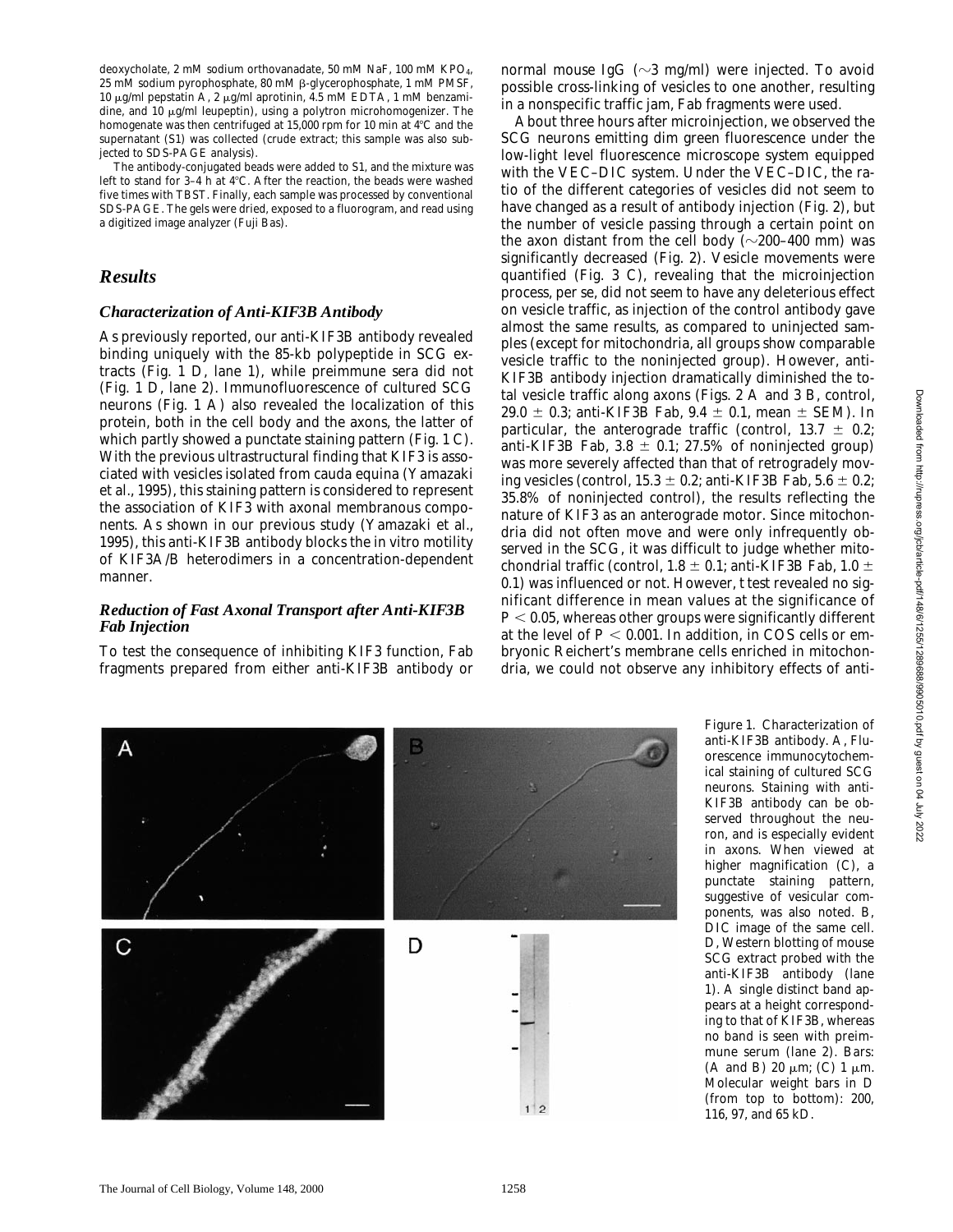deoxycholate, 2 mM sodium orthovanadate, 50 mM NaF, 100 mM KPO4, 25 mM sodium pyrophosphate, 80 mM β-glycerophosphate, 1 mM PMSF, 10 μg/ml pepstatin A, 2 μg/ml aprotinin, 4.5 mM EDTA, 1 mM benzamidine, and 10 µg/ml leupeptin), using a polytron microhomogenizer. The homogenate was then centrifuged at 15,000 rpm for 10 min at  $4^{\circ}$ C and the supernatant (S1) was collected (crude extract; this sample was also subjected to SDS-PAGE analysis).

The antibody-conjugated beads were added to S1, and the mixture was left to stand for 3-4 h at 4°C. After the reaction, the beads were washed five times with TBST. Finally, each sample was processed by conventional SDS-PAGE. The gels were dried, exposed to a fluorogram, and read using a digitized image analyzer (Fuji Bas).

#### *Results*

#### *Characterization of Anti-KIF3B Antibody*

As previously reported, our anti-KIF3B antibody revealed binding uniquely with the 85-kb polypeptide in SCG extracts (Fig. 1 D, lane 1), while preimmune sera did not (Fig. 1 D, lane 2). Immunofluorescence of cultured SCG neurons (Fig. 1 A) also revealed the localization of this protein, both in the cell body and the axons, the latter of which partly showed a punctate staining pattern (Fig. 1 C). With the previous ultrastructural finding that KIF3 is associated with vesicles isolated from cauda equina (Yamazaki et al., 1995), this staining pattern is considered to represent the association of KIF3 with axonal membranous components. As shown in our previous study (Yamazaki et al., 1995), this anti-KIF3B antibody blocks the in vitro motility of KIF3A/B heterodimers in a concentration-dependent manner.

#### *Reduction of Fast Axonal Transport after Anti-KIF3B Fab Injection*

To test the consequence of inhibiting KIF3 function, Fab fragments prepared from either anti-KIF3B antibody or

normal mouse IgG ( $\sim$ 3 mg/ml) were injected. To avoid possible cross-linking of vesicles to one another, resulting in a nonspecific traffic jam, Fab fragments were used.

About three hours after microinjection, we observed the SCG neurons emitting dim green fluorescence under the low-light level fluorescence microscope system equipped with the VEC–DIC system. Under the VEC–DIC, the ratio of the different categories of vesicles did not seem to have changed as a result of antibody injection (Fig. 2), but the number of vesicle passing through a certain point on the axon distant from the cell body ( $\sim$ 200–400 mm) was significantly decreased (Fig. 2). Vesicle movements were quantified (Fig. 3 C), revealing that the microinjection process, per se, did not seem to have any deleterious effect on vesicle traffic, as injection of the control antibody gave almost the same results, as compared to uninjected samples (except for mitochondria, all groups show comparable vesicle traffic to the noninjected group). However, anti-KIF3B antibody injection dramatically diminished the total vesicle traffic along axons (Figs. 2 A and 3 B, control, 29.0  $\pm$  0.3; anti-KIF3B Fab, 9.4  $\pm$  0.1, mean  $\pm$  SEM). In particular, the anterograde traffic (control,  $13.7 \pm 0.2$ ; anti-KIF3B Fab,  $3.8 \pm 0.1$ ; 27.5% of noninjected group) was more severely affected than that of retrogradely moving vesicles (control,  $15.3 \pm 0.2$ ; anti-KIF3B Fab,  $5.6 \pm 0.2$ ; 35.8% of noninjected control), the results reflecting the nature of KIF3 as an anterograde motor. Since mitochondria did not often move and were only infrequently observed in the SCG, it was difficult to judge whether mitochondrial traffic (control,  $1.8 \pm 0.1$ ; anti-KIF3B Fab,  $1.0 \pm 0.6$ 0.1) was influenced or not. However, *t* test revealed no significant difference in mean values at the significance of  $P < 0.05$ , whereas other groups were significantly different at the level of  $P < 0.001$ . In addition, in COS cells or embryonic Reichert's membrane cells enriched in mitochondria, we could not observe any inhibitory effects of anti-



*Figure 1*. Characterization of anti-KIF3B antibody. A, Fluorescence immunocytochemical staining of cultured SCG neurons. Staining with anti-KIF3B antibody can be observed throughout the neuron, and is especially evident in axons. When viewed at higher magnification (C), a punctate staining pattern, suggestive of vesicular components, was also noted. B, DIC image of the same cell. D, Western blotting of mouse SCG extract probed with the anti-KIF3B antibody (lane 1). A single distinct band appears at a height corresponding to that of KIF3B, whereas no band is seen with preimmune serum (lane 2). Bars: (A and B) 20  $\mu$ m; (C) 1  $\mu$ m. Molecular weight bars in D (from top to bottom): 200, 116, 97, and 65 kD.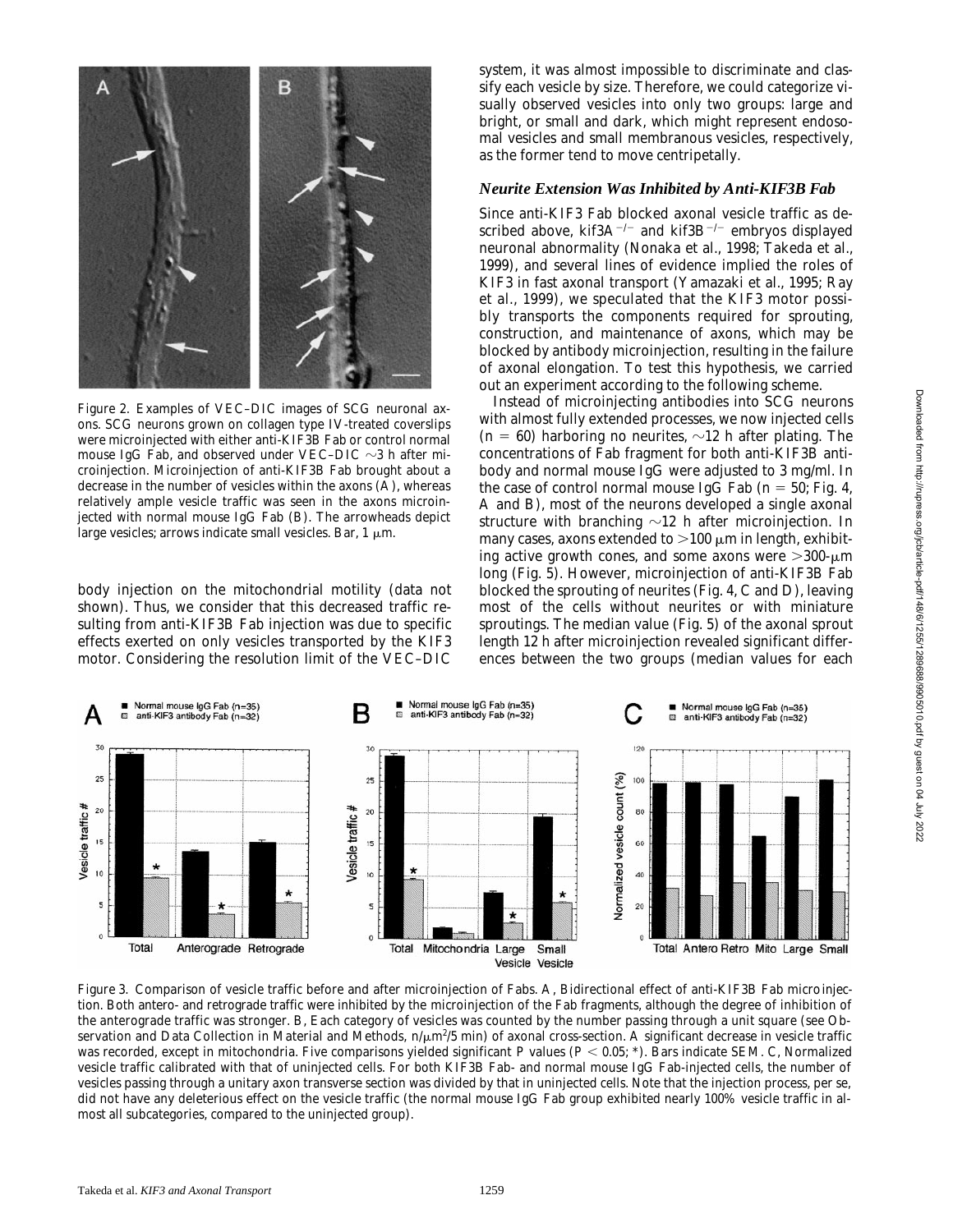

*Figure 2*. Examples of VEC–DIC images of SCG neuronal axons. SCG neurons grown on collagen type IV-treated coverslips were microinjected with either anti-KIF3B Fab or control normal mouse IgG Fab, and observed under VEC–DIC  $\sim$ 3 h after microinjection. Microinjection of anti-KIF3B Fab brought about a decrease in the number of vesicles within the axons (A), whereas relatively ample vesicle traffic was seen in the axons microinjected with normal mouse IgG Fab (B). The arrowheads depict large vesicles; arrows indicate small vesicles. Bar, 1  $\mu$ m.

body injection on the mitochondrial motility (data not shown). Thus, we consider that this decreased traffic resulting from anti-KIF3B Fab injection was due to specific effects exerted on only vesicles transported by the KIF3 motor. Considering the resolution limit of the VEC–DIC

system, it was almost impossible to discriminate and classify each vesicle by size. Therefore, we could categorize visually observed vesicles into only two groups: large and bright, or small and dark, which might represent endosomal vesicles and small membranous vesicles, respectively, as the former tend to move centripetally.

#### *Neurite Extension Was Inhibited by Anti-KIF3B Fab*

Since anti-KIF3 Fab blocked axonal vesicle traffic as described above,  $kif3A^{-/-}$  and  $kif3B^{-/-}$  embryos displayed neuronal abnormality (Nonaka et al., 1998; Takeda et al., 1999), and several lines of evidence implied the roles of KIF3 in fast axonal transport (Yamazaki et al., 1995; Ray et al., 1999), we speculated that the KIF3 motor possibly transports the components required for sprouting, construction, and maintenance of axons, which may be blocked by antibody microinjection, resulting in the failure of axonal elongation. To test this hypothesis, we carried out an experiment according to the following scheme.

Instead of microinjecting antibodies into SCG neurons with almost fully extended processes, we now injected cells  $(n = 60)$  harboring no neurites,  $\sim 12$  h after plating. The concentrations of Fab fragment for both anti-KIF3B antibody and normal mouse IgG were adjusted to 3 mg/ml. In the case of control normal mouse IgG Fab  $(n = 50;$  Fig. 4, A and B), most of the neurons developed a single axonal structure with branching  $\sim$ 12 h after microinjection. In many cases, axons extended to  $>100 \mu m$  in length, exhibiting active growth cones, and some axons were  $>300$ - $\mu$ m long (Fig. 5). However, microinjection of anti-KIF3B Fab blocked the sprouting of neurites (Fig. 4, C and D), leaving most of the cells without neurites or with miniature sproutings. The median value (Fig. 5) of the axonal sprout length 12 h after microinjection revealed significant differences between the two groups (median values for each



*Figure 3.* Comparison of vesicle traffic before and after microinjection of Fabs. A, Bidirectional effect of anti-KIF3B Fab microinjection. Both antero- and retrograde traffic were inhibited by the microinjection of the Fab fragments, although the degree of inhibition of the anterograde traffic was stronger. B, Each category of vesicles was counted by the number passing through a unit square (see Observation and Data Collection in Material and Methods,  $n/\mu$ m $^{2}/5$  min) of axonal cross-section. A significant decrease in vesicle traffic was recorded, except in mitochondria. Five comparisons yielded significant *P* values ( $P < 0.05$ ; \*). Bars indicate SEM. C, Normalized vesicle traffic calibrated with that of uninjected cells. For both KIF3B Fab- and normal mouse IgG Fab-injected cells, the number of vesicles passing through a unitary axon transverse section was divided by that in uninjected cells. Note that the injection process, per se, did not have any deleterious effect on the vesicle traffic (the normal mouse IgG Fab group exhibited nearly 100% vesicle traffic in almost all subcategories, compared to the uninjected group).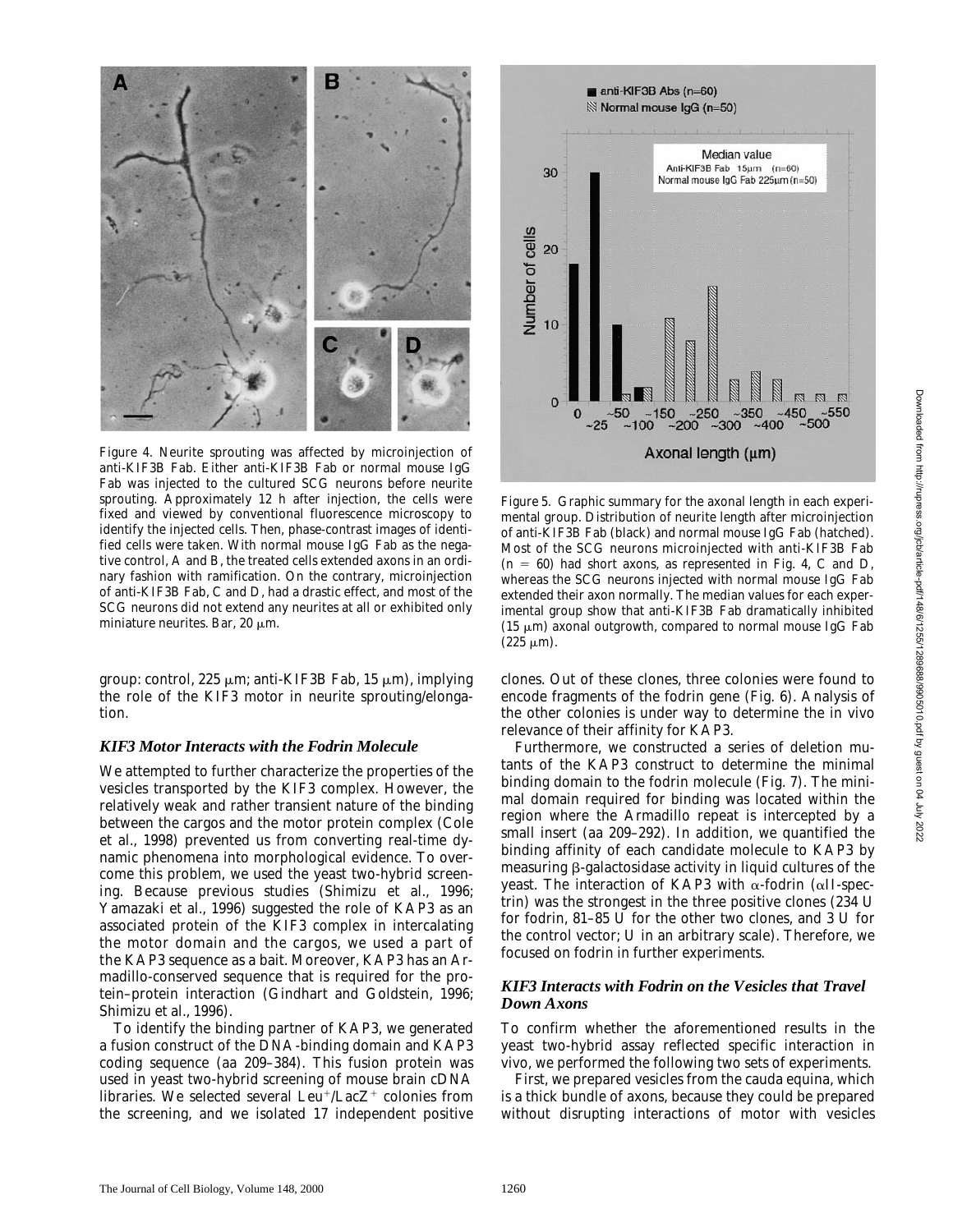

*Figure 4*. Neurite sprouting was affected by microinjection of anti-KIF3B Fab. Either anti-KIF3B Fab or normal mouse IgG Fab was injected to the cultured SCG neurons before neurite sprouting. Approximately 12 h after injection, the cells were fixed and viewed by conventional fluorescence microscopy to identify the injected cells. Then, phase-contrast images of identified cells were taken. With normal mouse IgG Fab as the negative control, A and B, the treated cells extended axons in an ordinary fashion with ramification. On the contrary, microinjection of anti-KIF3B Fab, C and D, had a drastic effect, and most of the SCG neurons did not extend any neurites at all or exhibited only miniature neurites. Bar, 20  $\mu$ m.

group: control, 225  $\mu$ m; anti-KIF3B Fab, 15  $\mu$ m), implying the role of the KIF3 motor in neurite sprouting/elongation.

#### *KIF3 Motor Interacts with the Fodrin Molecule*

We attempted to further characterize the properties of the vesicles transported by the KIF3 complex. However, the relatively weak and rather transient nature of the binding between the cargos and the motor protein complex (Cole et al., 1998) prevented us from converting real-time dynamic phenomena into morphological evidence. To overcome this problem, we used the yeast two-hybrid screening. Because previous studies (Shimizu et al., 1996; Yamazaki et al., 1996) suggested the role of KAP3 as an associated protein of the KIF3 complex in intercalating the motor domain and the cargos, we used a part of the KAP3 sequence as a bait. Moreover, KAP3 has an *Armadillo*-conserved sequence that is required for the protein–protein interaction (Gindhart and Goldstein, 1996; Shimizu et al., 1996).

To identify the binding partner of KAP3, we generated a fusion construct of the DNA-binding domain and KAP3 coding sequence (aa 209–384). This fusion protein was used in yeast two-hybrid screening of mouse brain cDNA libraries. We selected several  $Leu<sup>+/</sup>LacZ<sup>+</sup>$  colonies from the screening, and we isolated 17 independent positive



*Figure 5.* Graphic summary for the axonal length in each experimental group. Distribution of neurite length after microinjection of anti-KIF3B Fab (black) and normal mouse IgG Fab (hatched). Most of the SCG neurons microinjected with anti-KIF3B Fab  $(n = 60)$  had short axons, as represented in Fig. 4, C and D, whereas the SCG neurons injected with normal mouse IgG Fab extended their axon normally. The median values for each experimental group show that anti-KIF3B Fab dramatically inhibited  $(15 \mu m)$  axonal outgrowth, compared to normal mouse IgG Fab  $(225 \mu m)$ .

clones. Out of these clones, three colonies were found to encode fragments of the fodrin gene (Fig. 6). Analysis of the other colonies is under way to determine the in vivo relevance of their affinity for KAP3.

Furthermore, we constructed a series of deletion mutants of the KAP3 construct to determine the minimal binding domain to the fodrin molecule (Fig. 7). The minimal domain required for binding was located within the region where the *Armadillo* repeat is intercepted by a small insert (aa 209–292). In addition, we quantified the binding affinity of each candidate molecule to KAP3 by measuring  $\beta$ -galactosidase activity in liquid cultures of the yeast. The interaction of KAP3 with  $\alpha$ -fodrin ( $\alpha$ II-spectrin) was the strongest in the three positive clones (234 U for fodrin, 81–85 U for the other two clones, and 3 U for the control vector; U in an arbitrary scale). Therefore, we focused on fodrin in further experiments.

#### *KIF3 Interacts with Fodrin on the Vesicles that Travel Down Axons*

To confirm whether the aforementioned results in the yeast two-hybrid assay reflected specific interaction in vivo, we performed the following two sets of experiments.

First, we prepared vesicles from the cauda equina, which is a thick bundle of axons, because they could be prepared without disrupting interactions of motor with vesicles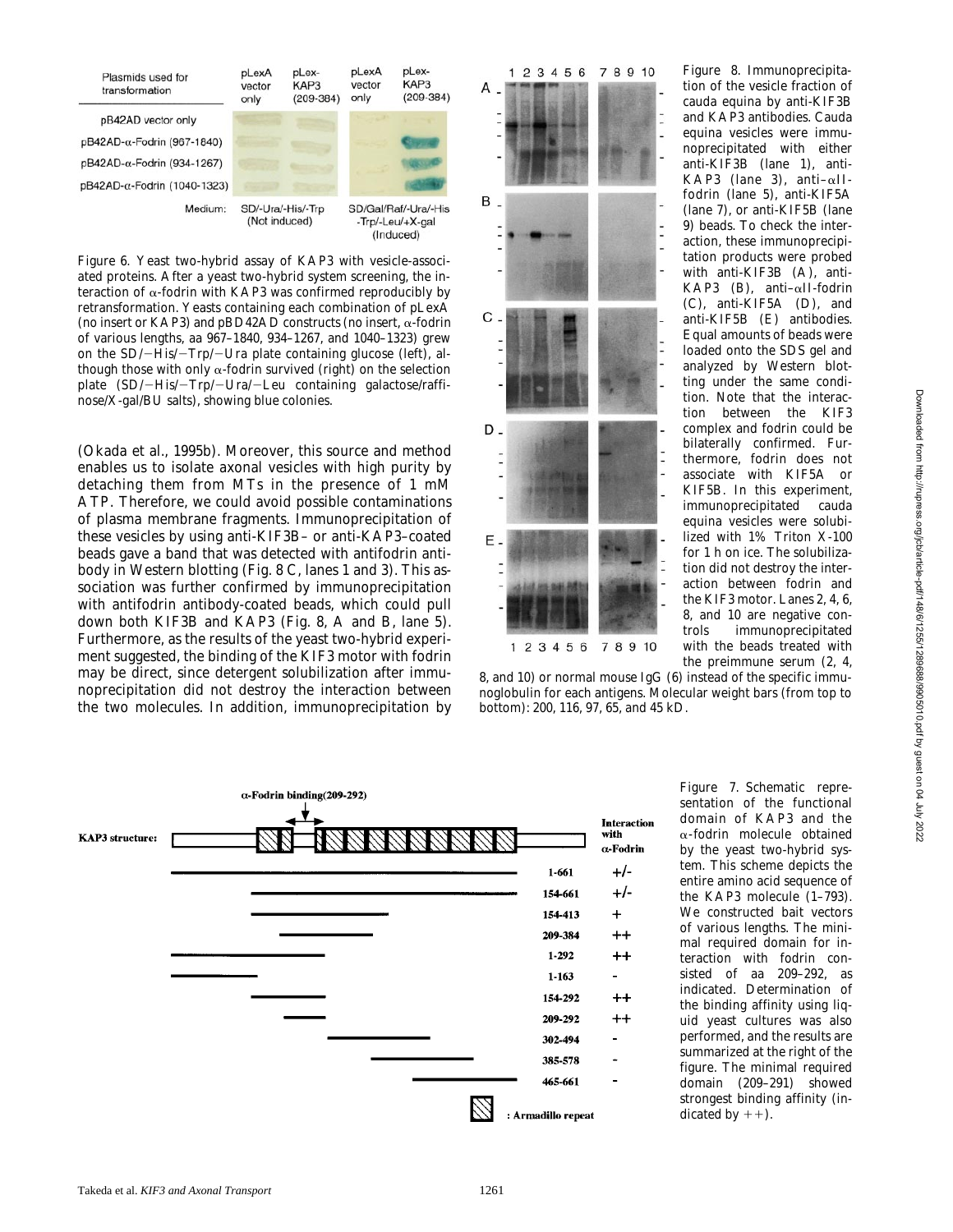

*Figure 6*. Yeast two-hybrid assay of KAP3 with vesicle-associated proteins. After a yeast two-hybrid system screening, the interaction of  $\alpha$ -fodrin with KAP3 was confirmed reproducibly by retransformation. Yeasts containing each combination of pLexA (no insert or KAP3) and pBD42AD constructs (no insert, a-fodrin of various lengths, aa 967–1840, 934–1267, and 1040–1323) grew on the  $SD$ /-His/-Trp/-Ura plate containing glucose (left), although those with only  $\alpha$ -fodrin survived (right) on the selection plate (SD/-His/-Trp/-Ura/-Leu containing galactose/raffinose/X-gal/BU salts), showing blue colonies.

(Okada et al., 1995b). Moreover, this source and method enables us to isolate axonal vesicles with high purity by detaching them from MTs in the presence of 1 mM ATP. Therefore, we could avoid possible contaminations of plasma membrane fragments. Immunoprecipitation of these vesicles by using anti-KIF3B– or anti-KAP3–coated beads gave a band that was detected with antifodrin antibody in Western blotting (Fig. 8 C, lanes 1 and 3). This association was further confirmed by immunoprecipitation with antifodrin antibody-coated beads, which could pull down both KIF3B and KAP3 (Fig. 8, A and B, lane 5). Furthermore, as the results of the yeast two-hybrid experiment suggested, the binding of the KIF3 motor with fodrin may be direct, since detergent solubilization after immunoprecipitation did not destroy the interaction between the two molecules. In addition, immunoprecipitation by



*Figure 8.* Immunoprecipitation of the vesicle fraction of cauda equina by anti-KIF3B and KAP3 antibodies. Cauda equina vesicles were immunoprecipitated with either anti-KIF3B (lane 1), anti-KAP3 (lane 3), anti–aIIfodrin (lane 5), anti-KIF5A (lane 7), or anti-KIF5B (lane 9) beads. To check the interaction, these immunoprecipitation products were probed with anti-KIF3B (A), anti-KAP3 (B), anti- $\alpha$ II-fodrin (C), anti-KIF5A (D), and anti-KIF5B (E) antibodies. Equal amounts of beads were loaded onto the SDS gel and analyzed by Western blotting under the same condition. Note that the interaction between the KIF3 complex and fodrin could be bilaterally confirmed. Furthermore, fodrin does not associate with KIF5A or KIF5B. In this experiment, immunoprecipitated cauda equina vesicles were solubilized with 1% Triton X-100 for 1 h on ice. The solubilization did not destroy the interaction between fodrin and the KIF3 motor. Lanes 2, 4, 6, 8, and 10 are negative controls immunoprecipitated with the beads treated with the preimmune serum (2, 4,

8, and 10) or normal mouse IgG (6) instead of the specific immunoglobulin for each antigens. Molecular weight bars (from top to bottom): 200, 116, 97, 65, and 45 kD.



*Figure 7.* Schematic representation of the functional domain of KAP3 and the  $\alpha$ -fodrin molecule obtained by the yeast two-hybrid system. This scheme depicts the entire amino acid sequence of the KAP3 molecule (1–793). We constructed bait vectors of various lengths. The minimal required domain for interaction with fodrin consisted of aa 209–292, as indicated. Determination of the binding affinity using liquid yeast cultures was also performed, and the results are summarized at the right of the figure. The minimal required domain (209–291) showed strongest binding affinity (indicated by  $++$ ).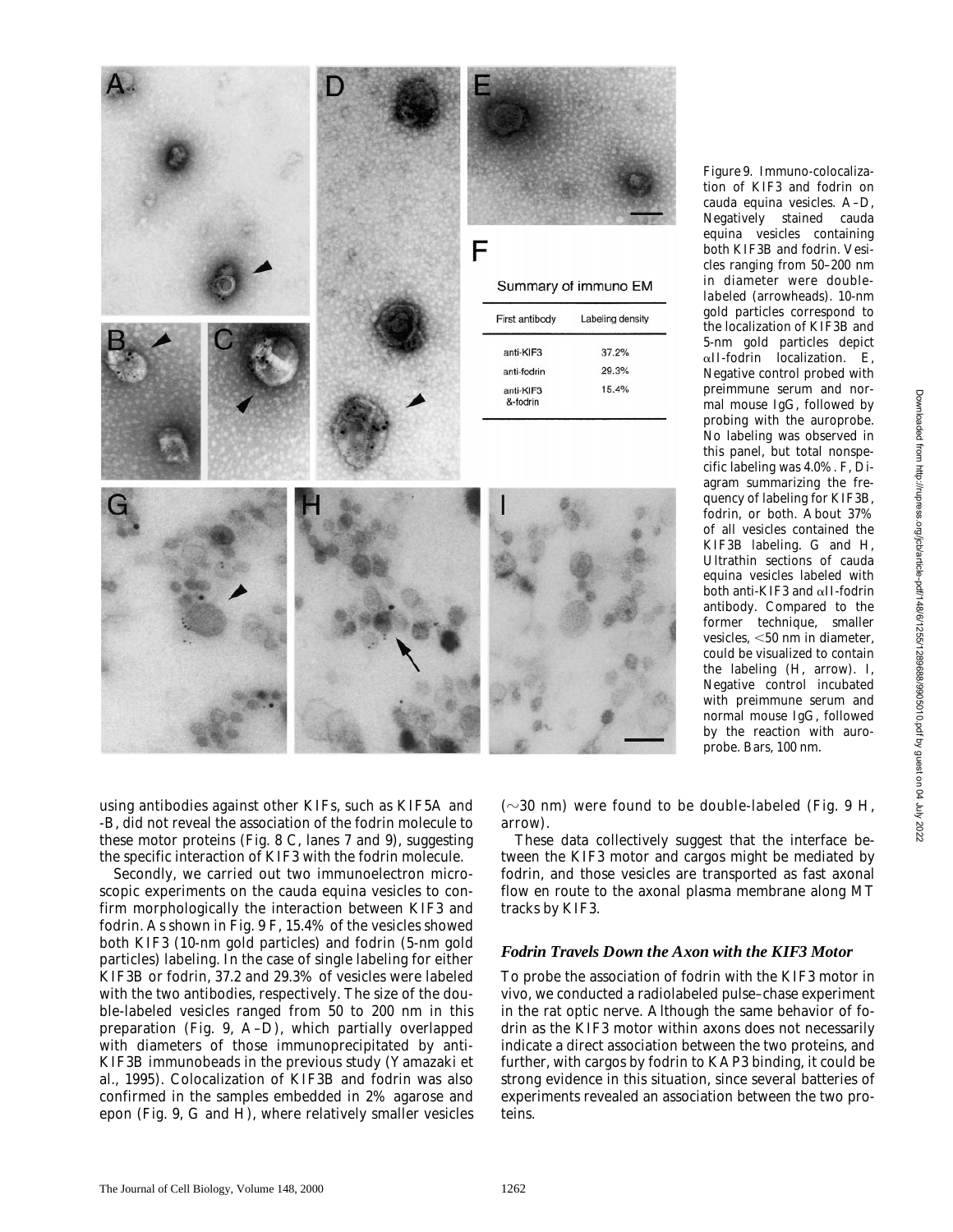

*Figure 9.* Immuno-colocalization of KIF3 and fodrin on cauda equina vesicles. A–D, Negatively stained cauda equina vesicles containing both KIF3B and fodrin. Vesicles ranging from 50–200 nm in diameter were doublelabeled (arrowheads). 10-nm gold particles correspond to the localization of KIF3B and 5-nm gold particles depict  $\alpha$ II-fodrin localization. E, Negative control probed with preimmune serum and normal mouse IgG, followed by probing with the auroprobe. No labeling was observed in this panel, but total nonspecific labeling was 4.0%. F, Diagram summarizing the frequency of labeling for KIF3B, fodrin, or both. About 37% of all vesicles contained the KIF3B labeling. G and H, Ultrathin sections of cauda equina vesicles labeled with both anti-KIF3 and aII-fodrin antibody. Compared to the former technique, smaller vesicles,  $<$  50 nm in diameter, could be visualized to contain the labeling (H, arrow). I, Negative control incubated with preimmune serum and normal mouse IgG, followed by the reaction with auroprobe. Bars, 100 nm.

using antibodies against other KIFs, such as KIF5A and -B, did not reveal the association of the fodrin molecule to these motor proteins (Fig. 8 C, lanes 7 and 9), suggesting the specific interaction of KIF3 with the fodrin molecule.

Secondly, we carried out two immunoelectron microscopic experiments on the cauda equina vesicles to confirm morphologically the interaction between KIF3 and fodrin. As shown in Fig. 9 F, 15.4% of the vesicles showed both KIF3 (10-nm gold particles) and fodrin (5-nm gold particles) labeling. In the case of single labeling for either KIF3B or fodrin, 37.2 and 29.3% of vesicles were labeled with the two antibodies, respectively. The size of the double-labeled vesicles ranged from 50 to 200 nm in this preparation (Fig. 9, A–D), which partially overlapped with diameters of those immunoprecipitated by anti-KIF3B immunobeads in the previous study (Yamazaki et al., 1995). Colocalization of KIF3B and fodrin was also confirmed in the samples embedded in 2% agarose and epon (Fig. 9, G and H), where relatively smaller vesicles

 $(\sim 30 \text{ nm})$  were found to be double-labeled (Fig. 9 H, arrow).

These data collectively suggest that the interface between the KIF3 motor and cargos might be mediated by fodrin, and those vesicles are transported as fast axonal flow en route to the axonal plasma membrane along MT tracks by KIF3.

#### *Fodrin Travels Down the Axon with the KIF3 Motor*

To probe the association of fodrin with the KIF3 motor in vivo, we conducted a radiolabeled pulse–chase experiment in the rat optic nerve. Although the same behavior of fodrin as the KIF3 motor within axons does not necessarily indicate a direct association between the two proteins, and further, with cargos by fodrin to KAP3 binding, it could be strong evidence in this situation, since several batteries of experiments revealed an association between the two proteins.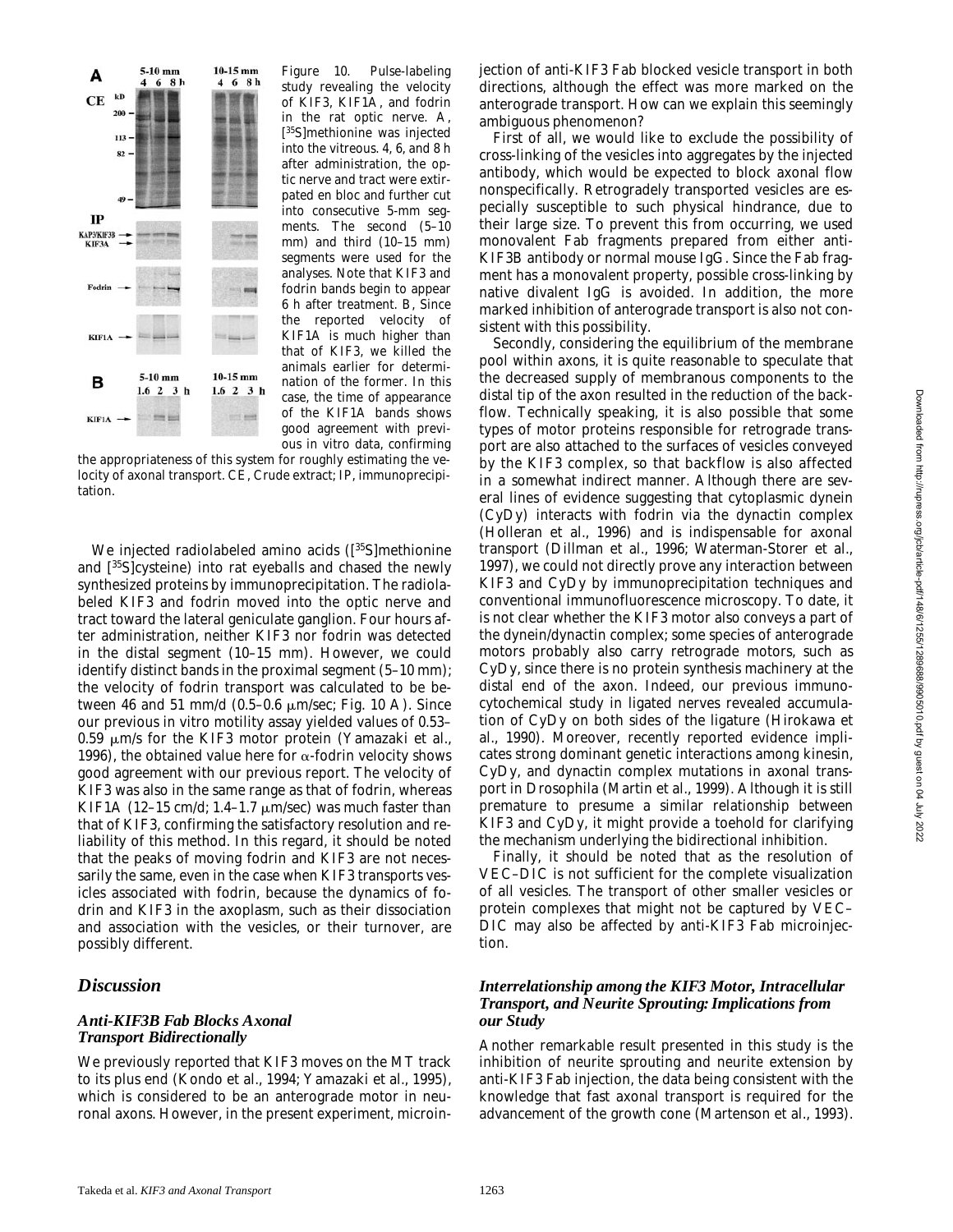

*Figure 10.* Pulse-labeling study revealing the velocity of KIF3, KIF1A, and fodrin in the rat optic nerve. A, [ 35S]methionine was injected into the vitreous. 4, 6, and 8 h after administration, the optic nerve and tract were extirpated en bloc and further cut into consecutive 5-mm segments. The second (5–10 mm) and third (10–15 mm) segments were used for the analyses. Note that KIF3 and fodrin bands begin to appear 6 h after treatment. B, Since the reported velocity of KIF1A is much higher than that of KIF3, we killed the animals earlier for determination of the former. In this case, the time of appearance of the KIF1A bands shows good agreement with previous in vitro data, confirming

the appropriateness of this system for roughly estimating the velocity of axonal transport. CE, Crude extract; IP, immunoprecipitation.

We injected radiolabeled amino acids ([<sup>35</sup>S]methionine and [35S]cysteine) into rat eyeballs and chased the newly synthesized proteins by immunoprecipitation. The radiolabeled KIF3 and fodrin moved into the optic nerve and tract toward the lateral geniculate ganglion. Four hours after administration, neither KIF3 nor fodrin was detected in the distal segment (10–15 mm). However, we could identify distinct bands in the proximal segment (5–10 mm); the velocity of fodrin transport was calculated to be between 46 and 51 mm/d  $(0.5-0.6 \mu \text{m/sec}; \text{Fig. 10 A})$ . Since our previous in vitro motility assay yielded values of 0.53–  $0.59$   $\mu$ m/s for the KIF3 motor protein (Yamazaki et al., 1996), the obtained value here for  $\alpha$ -fodrin velocity shows good agreement with our previous report. The velocity of KIF3 was also in the same range as that of fodrin, whereas KIF1A (12-15 cm/d; 1.4-1.7  $\mu$ m/sec) was much faster than that of KIF3, confirming the satisfactory resolution and reliability of this method. In this regard, it should be noted that the peaks of moving fodrin and KIF3 are not necessarily the same, even in the case when KIF3 transports vesicles associated with fodrin, because the dynamics of fodrin and KIF3 in the axoplasm, such as their dissociation and association with the vesicles, or their turnover, are possibly different.

#### *Discussion*

#### *Anti-KIF3B Fab Blocks Axonal Transport Bidirectionally*

We previously reported that KIF3 moves on the MT track to its plus end (Kondo et al., 1994; Yamazaki et al., 1995), which is considered to be an anterograde motor in neuronal axons. However, in the present experiment, microinjection of anti-KIF3 Fab blocked vesicle transport in both directions, although the effect was more marked on the anterograde transport. How can we explain this seemingly ambiguous phenomenon?

First of all, we would like to exclude the possibility of cross-linking of the vesicles into aggregates by the injected antibody, which would be expected to block axonal flow nonspecifically. Retrogradely transported vesicles are especially susceptible to such physical hindrance, due to their large size. To prevent this from occurring, we used monovalent Fab fragments prepared from either anti-KIF3B antibody or normal mouse IgG. Since the Fab fragment has a monovalent property, possible cross-linking by native divalent IgG is avoided. In addition, the more marked inhibition of anterograde transport is also not consistent with this possibility.

Secondly, considering the equilibrium of the membrane pool within axons, it is quite reasonable to speculate that the decreased supply of membranous components to the distal tip of the axon resulted in the reduction of the backflow. Technically speaking, it is also possible that some types of motor proteins responsible for retrograde transport are also attached to the surfaces of vesicles conveyed by the KIF3 complex, so that backflow is also affected in a somewhat indirect manner. Although there are several lines of evidence suggesting that cytoplasmic dynein (CyDy) interacts with fodrin via the dynactin complex (Holleran et al., 1996) and is indispensable for axonal transport (Dillman et al., 1996; Waterman-Storer et al., 1997), we could not directly prove any interaction between KIF3 and CyDy by immunoprecipitation techniques and conventional immunofluorescence microscopy. To date, it is not clear whether the KIF3 motor also conveys a part of the dynein/dynactin complex; some species of anterograde motors probably also carry retrograde motors, such as CyDy, since there is no protein synthesis machinery at the distal end of the axon. Indeed, our previous immunocytochemical study in ligated nerves revealed accumulation of CyDy on both sides of the ligature (Hirokawa et al., 1990). Moreover, recently reported evidence implicates strong dominant genetic interactions among kinesin, CyDy, and dynactin complex mutations in axonal transport in *Drosophila* (Martin et al., 1999). Although it is still premature to presume a similar relationship between KIF3 and CyDy, it might provide a toehold for clarifying the mechanism underlying the bidirectional inhibition.

Finally, it should be noted that as the resolution of VEC–DIC is not sufficient for the complete visualization of all vesicles. The transport of other smaller vesicles or protein complexes that might not be captured by VEC– DIC may also be affected by anti-KIF3 Fab microinjection.

#### *Interrelationship among the KIF3 Motor, Intracellular Transport, and Neurite Sprouting: Implications from our Study*

Another remarkable result presented in this study is the inhibition of neurite sprouting and neurite extension by anti-KIF3 Fab injection, the data being consistent with the knowledge that fast axonal transport is required for the advancement of the growth cone (Martenson et al., 1993).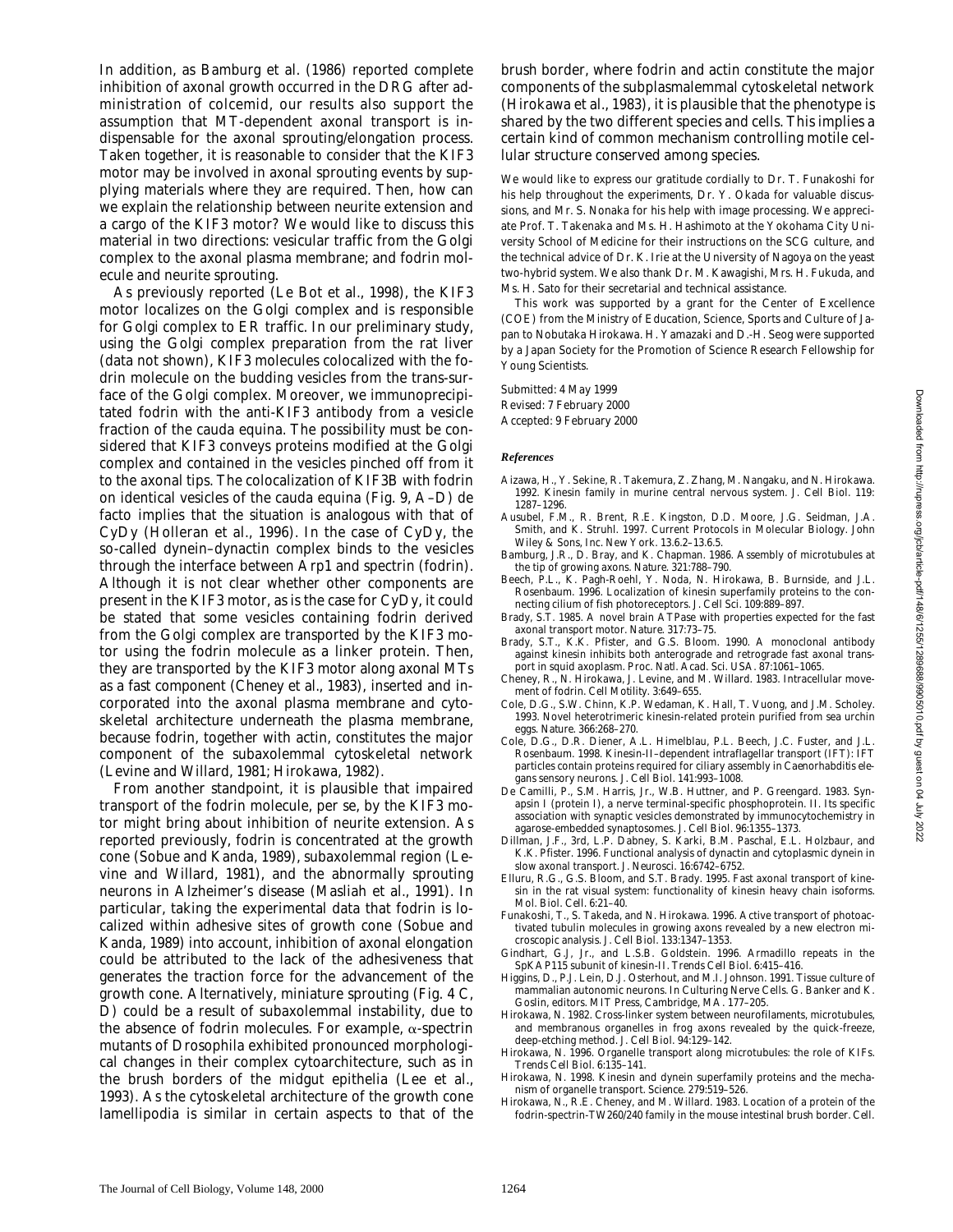Downloaded from http://rupress.org/jcb/article-pdf/148/6/1255/1289688/9905010.pdf by guest on 04 July 2022 Downloaded from http://rupress.org/jcb/article-pdf/148/6/1255/1289688/9905010.pdf by guest on 04 July 2022

In addition, as Bamburg et al. (1986) reported complete inhibition of axonal growth occurred in the DRG after administration of colcemid, our results also support the assumption that MT-dependent axonal transport is indispensable for the axonal sprouting/elongation process. Taken together, it is reasonable to consider that the KIF3 motor may be involved in axonal sprouting events by supplying materials where they are required. Then, how can we explain the relationship between neurite extension and a cargo of the KIF3 motor? We would like to discuss this material in two directions: vesicular traffic from the Golgi complex to the axonal plasma membrane; and fodrin molecule and neurite sprouting.

As previously reported (Le Bot et al., 1998), the KIF3 motor localizes on the Golgi complex and is responsible for Golgi complex to ER traffic. In our preliminary study, using the Golgi complex preparation from the rat liver (data not shown), KIF3 molecules colocalized with the fodrin molecule on the budding vesicles from the trans-surface of the Golgi complex. Moreover, we immunoprecipitated fodrin with the anti-KIF3 antibody from a vesicle fraction of the cauda equina. The possibility must be considered that KIF3 conveys proteins modified at the Golgi complex and contained in the vesicles pinched off from it to the axonal tips. The colocalization of KIF3B with fodrin on identical vesicles of the cauda equina (Fig. 9, A–D) de facto implies that the situation is analogous with that of CyDy (Holleran et al., 1996). In the case of CyDy, the so-called dynein–dynactin complex binds to the vesicles through the interface between Arp1 and spectrin (fodrin). Although it is not clear whether other components are present in the KIF3 motor, as is the case for CyDy, it could be stated that some vesicles containing fodrin derived from the Golgi complex are transported by the KIF3 motor using the fodrin molecule as a linker protein. Then, they are transported by the KIF3 motor along axonal MTs as a fast component (Cheney et al., 1983), inserted and incorporated into the axonal plasma membrane and cytoskeletal architecture underneath the plasma membrane, because fodrin, together with actin, constitutes the major component of the subaxolemmal cytoskeletal network (Levine and Willard, 1981; Hirokawa, 1982).

From another standpoint, it is plausible that impaired transport of the fodrin molecule, per se, by the KIF3 motor might bring about inhibition of neurite extension. As reported previously, fodrin is concentrated at the growth cone (Sobue and Kanda, 1989), subaxolemmal region (Levine and Willard, 1981), and the abnormally sprouting neurons in Alzheimer's disease (Masliah et al., 1991). In particular, taking the experimental data that fodrin is localized within adhesive sites of growth cone (Sobue and Kanda, 1989) into account, inhibition of axonal elongation could be attributed to the lack of the adhesiveness that generates the traction force for the advancement of the growth cone. Alternatively, miniature sprouting (Fig. 4 C, D) could be a result of subaxolemmal instability, due to the absence of fodrin molecules. For example,  $\alpha$ -spectrin mutants of *Drosophila* exhibited pronounced morphological changes in their complex cytoarchitecture, such as in the brush borders of the midgut epithelia (Lee et al., 1993). As the cytoskeletal architecture of the growth cone lamellipodia is similar in certain aspects to that of the

brush border, where fodrin and actin constitute the major components of the subplasmalemmal cytoskeletal network (Hirokawa et al., 1983), it is plausible that the phenotype is shared by the two different species and cells. This implies a certain kind of common mechanism controlling motile cellular structure conserved among species.

We would like to express our gratitude cordially to Dr. T. Funakoshi for his help throughout the experiments, Dr. Y. Okada for valuable discussions, and Mr. S. Nonaka for his help with image processing. We appreciate Prof. T. Takenaka and Ms. H. Hashimoto at the Yokohama City University School of Medicine for their instructions on the SCG culture, and the technical advice of Dr. K. Irie at the University of Nagoya on the yeast two-hybrid system. We also thank Dr. M. Kawagishi, Mrs. H. Fukuda, and Ms. H. Sato for their secretarial and technical assistance.

This work was supported by a grant for the Center of Excellence (COE) from the Ministry of Education, Science, Sports and Culture of Japan to Nobutaka Hirokawa. H. Yamazaki and D.-H. Seog were supported by a Japan Society for the Promotion of Science Research Fellowship for Young Scientists.

Submitted: 4 May 1999 Revised: 7 February 2000 Accepted: 9 February 2000

#### *References*

- Aizawa, H., Y. Sekine, R. Takemura, Z. Zhang, M. Nangaku, and N. Hirokawa. 1992. Kinesin family in murine central nervous system. *J. Cell Biol.* 119: 1287–1296.
- Ausubel, F.M., R. Brent, R.E. Kingston, D.D. Moore, J.G. Seidman, J.A. Smith, and K. Struhl. 1997. Current Protocols in Molecular Biology. John Wiley & Sons, Inc. New York. 13.6.2–13.6.5.
- Bamburg, J.R., D. Bray, and K. Chapman. 1986. Assembly of microtubules at the tip of growing axons. *Nature.* 321:788–790.
- Beech, P.L., K. Pagh-Roehl, Y. Noda, N. Hirokawa, B. Burnside, and J.L. Rosenbaum. 1996. Localization of kinesin superfamily proteins to the connecting cilium of fish photoreceptors. *J. Cell Sci.* 109:889–897.
- Brady, S.T. 1985. A novel brain ATPase with properties expected for the fast axonal transport motor. *Nature.* 317:73–75.
- Brady, S.T., K.K. Pfister, and G.S. Bloom. 1990. A monoclonal antibody against kinesin inhibits both anterograde and retrograde fast axonal transport in squid axoplasm. *Proc. Natl. Acad. Sci. USA.* 87:1061–1065.
- Cheney, R., N. Hirokawa, J. Levine, and M. Willard. 1983. Intracellular movement of fodrin. *Cell Motility.* 3:649–655.
- Cole, D.G., S.W. Chinn, K.P. Wedaman, K. Hall, T. Vuong, and J.M. Scholey. 1993. Novel heterotrimeric kinesin-related protein purified from sea urchin eggs. *Nature.* 366:268–270.
- Cole, D.G., D.R. Diener, A.L. Himelblau, P.L. Beech, J.C. Fuster, and J.L. Rosenbaum. 1998. Kinesin-II–dependent intraflagellar transport (IFT): IFT particles contain proteins required for ciliary assembly in *Caenorhabditis elegans* sensory neurons. *J. Cell Biol.* 141:993–1008.
- De Camilli, P., S.M. Harris, Jr., W.B. Huttner, and P. Greengard. 1983. Synapsin I (protein I), a nerve terminal-specific phosphoprotein. II. Its specific association with synaptic vesicles demonstrated by immunocytochemistry in agarose-embedded synaptosomes. *J. Cell Biol.* 96:1355–1373.
- Dillman, J.F., 3rd, L.P. Dabney, S. Karki, B.M. Paschal, E.L. Holzbaur, and K.K. Pfister. 1996. Functional analysis of dynactin and cytoplasmic dynein in slow axonal transport. *J. Neurosci.* 16:6742–6752.
- Elluru, R.G., G.S. Bloom, and S.T. Brady. 1995. Fast axonal transport of kinesin in the rat visual system: functionality of kinesin heavy chain isoforms. *Mol. Biol. Cell.* 6:21–40.
- Funakoshi, T., S. Takeda, and N. Hirokawa. 1996. Active transport of photoactivated tubulin molecules in growing axons revealed by a new electron microscopic analysis. *J. Cell Biol.* 133:1347–1353.
- Gindhart, G.J, Jr., and L.S.B. Goldstein. 1996. *Armadillo* repeats in the SpKAP115 subunit of kinesin-II. *Trends Cell Biol.* 6:415–416.
- Higgins, D., P.J. Lein, D.J. Osterhout, and M.I. Johnson. 1991. Tissue culture of mammalian autonomic neurons. *In* Culturing Nerve Cells. G. Banker and K. Goslin, editors. MIT Press, Cambridge, MA. 177–205.
- Hirokawa, N. 1982. Cross-linker system between neurofilaments, microtubules, and membranous organelles in frog axons revealed by the quick-freeze, deep-etching method. *J. Cell Biol.* 94:129–142.
- Hirokawa, N. 1996. Organelle transport along microtubules: the role of KIFs. *Trends Cell Biol.* 6:135–141.
- Hirokawa, N. 1998. Kinesin and dynein superfamily proteins and the mechanism of organelle transport. *Science.* 279:519–526.
- Hirokawa, N., R.E. Cheney, and M. Willard. 1983. Location of a protein of the fodrin-spectrin-TW260/240 family in the mouse intestinal brush border. *Cell.*